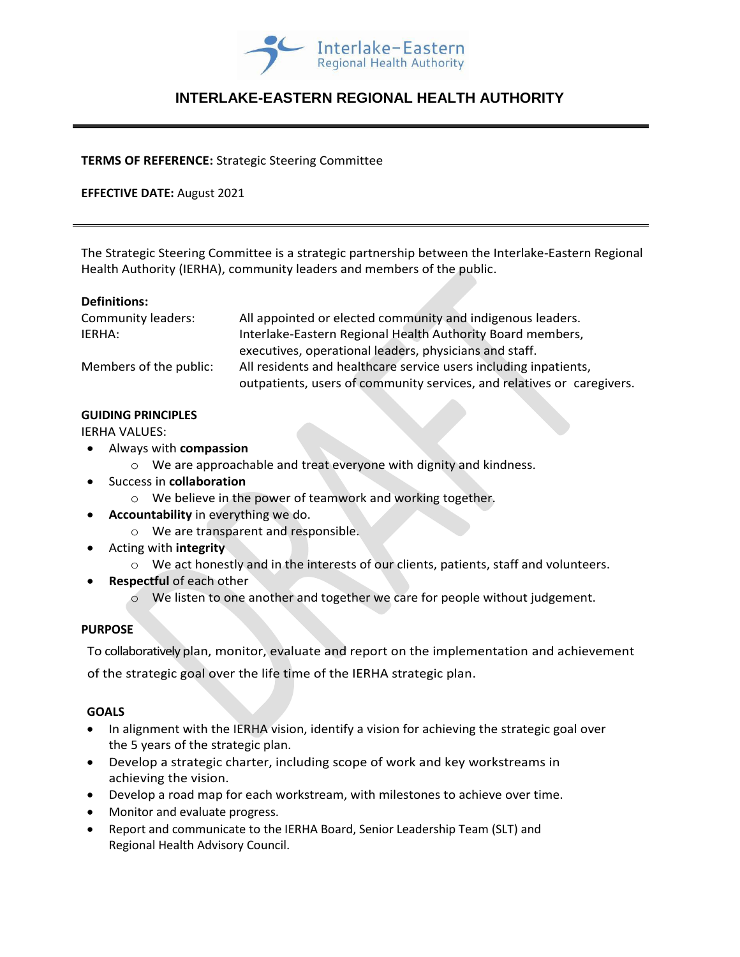

# **INTERLAKE-EASTERN REGIONAL HEALTH AUTHORITY**

#### **TERMS OF REFERENCE:** Strategic Steering Committee

## **EFFECTIVE DATE:** August 2021

The Strategic Steering Committee is a strategic partnership between the Interlake-Eastern Regional Health Authority (IERHA), community leaders and members of the public.

#### **Definitions:**

| Community leaders:     | All appointed or elected community and indigenous leaders.             |
|------------------------|------------------------------------------------------------------------|
| IERHA:                 | Interlake-Eastern Regional Health Authority Board members,             |
|                        | executives, operational leaders, physicians and staff.                 |
| Members of the public: | All residents and healthcare service users including inpatients,       |
|                        | outpatients, users of community services, and relatives or caregivers. |

#### **GUIDING PRINCIPLES**

IERHA VALUES:

- Always with **compassion**
	- o We are approachable and treat everyone with dignity and kindness.
- Success in **collaboration**
	- o We believe in the power of teamwork and working together.
- **Accountability** in everything we do.
	- o We are transparent and responsible.
- Acting with **integrity**
	- $\circ$  We act honestly and in the interests of our clients, patients, staff and volunteers.
- **Respectful** of each other
	- o We listen to one another and together we care for people without judgement.

## **PURPOSE**

To collaboratively plan, monitor, evaluate and report on the implementation and achievement

of the strategic goal over the life time of the IERHA strategic plan.

## **GOALS**

- In alignment with the IERHA vision, identify a vision for achieving the strategic goal over the 5 years of the strategic plan.
- Develop a strategic charter, including scope of work and key workstreams in achieving the vision.
- Develop a road map for each workstream, with milestones to achieve over time.
- Monitor and evaluate progress.
- Report and communicate to the IERHA Board, Senior Leadership Team (SLT) and Regional Health Advisory Council.